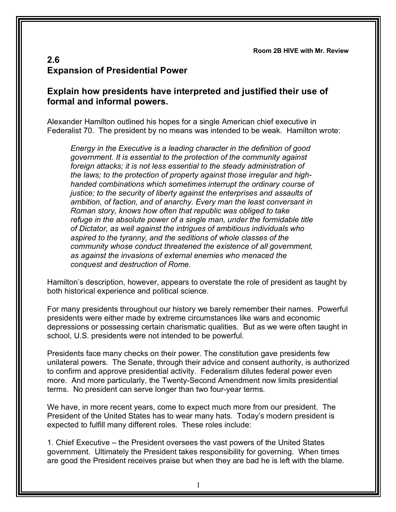**Room 2B HIVE with Mr. Review**

## **2.6 Expansion of Presidential Power**

## **Explain how presidents have interpreted and justified their use of formal and informal powers.**

Alexander Hamilton outlined his hopes for a single American chief executive in Federalist 70. The president by no means was intended to be weak. Hamilton wrote:

*Energy in the Executive is a leading character in the definition of good government. It is essential to the protection of the community against foreign attacks; it is not less essential to the steady administration of the laws; to the protection of property against those irregular and highhanded combinations which sometimes interrupt the ordinary course of justice; to the security of liberty against the enterprises and assaults of ambition, of faction, and of anarchy. Every man the least conversant in Roman story, knows how often that republic was obliged to take refuge in the absolute power of a single man, under the formidable title of Dictator, as well against the intrigues of ambitious individuals who aspired to the tyranny, and the seditions of whole classes of the community whose conduct threatened the existence of all government, as against the invasions of external enemies who menaced the conquest and destruction of Rome.*

Hamilton's description, however, appears to overstate the role of president as taught by both historical experience and political science.

For many presidents throughout our history we barely remember their names. Powerful presidents were either made by extreme circumstances like wars and economic depressions or possessing certain charismatic qualities. But as we were often taught in school, U.S. presidents were not intended to be powerful.

Presidents face many checks on their power. The constitution gave presidents few unilateral powers. The Senate, through their advice and consent authority, is authorized to confirm and approve presidential activity. Federalism dilutes federal power even more. And more particularly, the Twenty-Second Amendment now limits presidential terms. No president can serve longer than two four-year terms.

We have, in more recent years, come to expect much more from our president. The President of the United States has to wear many hats. Today's modern president is expected to fulfill many different roles. These roles include:

1. Chief Executive – the President oversees the vast powers of the United States government. Ultimately the President takes responsibility for governing. When times are good the President receives praise but when they are bad he is left with the blame.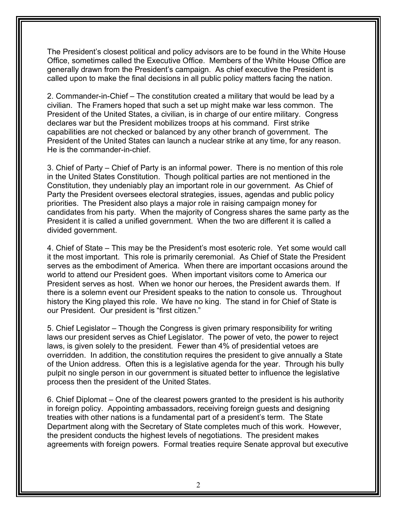The President's closest political and policy advisors are to be found in the White House Office, sometimes called the Executive Office. Members of the White House Office are generally drawn from the President's campaign. As chief executive the President is called upon to make the final decisions in all public policy matters facing the nation.

2. Commander-in-Chief – The constitution created a military that would be lead by a civilian. The Framers hoped that such a set up might make war less common. The President of the United States, a civilian, is in charge of our entire military. Congress declares war but the President mobilizes troops at his command. First strike capabilities are not checked or balanced by any other branch of government. The President of the United States can launch a nuclear strike at any time, for any reason. He is the commander-in-chief.

3. Chief of Party – Chief of Party is an informal power. There is no mention of this role in the United States Constitution. Though political parties are not mentioned in the Constitution, they undeniably play an important role in our government. As Chief of Party the President oversees electoral strategies, issues, agendas and public policy priorities. The President also plays a major role in raising campaign money for candidates from his party. When the majority of Congress shares the same party as the President it is called a unified government. When the two are different it is called a divided government.

4. Chief of State – This may be the President's most esoteric role. Yet some would call it the most important. This role is primarily ceremonial. As Chief of State the President serves as the embodiment of America. When there are important occasions around the world to attend our President goes. When important visitors come to America our President serves as host. When we honor our heroes, the President awards them. If there is a solemn event our President speaks to the nation to console us. Throughout history the King played this role. We have no king. The stand in for Chief of State is our President. Our president is "first citizen."

5. Chief Legislator – Though the Congress is given primary responsibility for writing laws our president serves as Chief Legislator. The power of veto, the power to reject laws, is given solely to the president. Fewer than 4% of presidential vetoes are overridden. In addition, the constitution requires the president to give annually a State of the Union address. Often this is a legislative agenda for the year. Through his bully pulpit no single person in our government is situated better to influence the legislative process then the president of the United States.

6. Chief Diplomat – One of the clearest powers granted to the president is his authority in foreign policy. Appointing ambassadors, receiving foreign guests and designing treaties with other nations is a fundamental part of a president's term. The State Department along with the Secretary of State completes much of this work. However, the president conducts the highest levels of negotiations. The president makes agreements with foreign powers. Formal treaties require Senate approval but executive